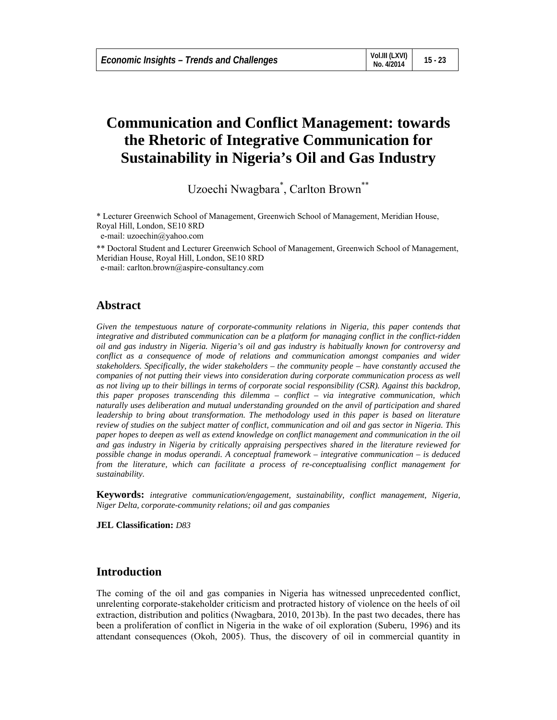# **Communication and Conflict Management: towards the Rhetoric of Integrative Communication for Sustainability in Nigeria's Oil and Gas Industry**

Uzoechi Nwagbara<sup>\*</sup>, Carlton Brown<sup>\*\*</sup>

\* Lecturer Greenwich School of Management, Greenwich School of Management, Meridian House, Royal Hill, London, SE10 8RD e-mail: uzoechin@yahoo.com

\*\* Doctoral Student and Lecturer Greenwich School of Management, Greenwich School of Management, Meridian House, Royal Hill, London, SE10 8RD

e-mail: carlton.brown@aspire-consultancy.com

## **Abstract**

*Given the tempestuous nature of corporate-community relations in Nigeria, this paper contends that integrative and distributed communication can be a platform for managing conflict in the conflict-ridden oil and gas industry in Nigeria. Nigeria's oil and gas industry is habitually known for controversy and conflict as a consequence of mode of relations and communication amongst companies and wider stakeholders. Specifically, the wider stakeholders – the community people – have constantly accused the companies of not putting their views into consideration during corporate communication process as well as not living up to their billings in terms of corporate social responsibility (CSR). Against this backdrop, this paper proposes transcending this dilemma – conflict – via integrative communication, which naturally uses deliberation and mutual understanding grounded on the anvil of participation and shared leadership to bring about transformation. The methodology used in this paper is based on literature review of studies on the subject matter of conflict, communication and oil and gas sector in Nigeria. This paper hopes to deepen as well as extend knowledge on conflict management and communication in the oil and gas industry in Nigeria by critically appraising perspectives shared in the literature reviewed for possible change in modus operandi. A conceptual framework – integrative communication – is deduced from the literature, which can facilitate a process of re-conceptualising conflict management for sustainability.* 

**Keywords:** *integrative communication/engagement, sustainability, conflict management, Nigeria, Niger Delta, corporate-community relations; oil and gas companies* 

**JEL Classification:** *D83* 

### **Introduction**

The coming of the oil and gas companies in Nigeria has witnessed unprecedented conflict, unrelenting corporate-stakeholder criticism and protracted history of violence on the heels of oil extraction, distribution and politics (Nwagbara, 2010, 2013b). In the past two decades, there has been a proliferation of conflict in Nigeria in the wake of oil exploration (Suberu, 1996) and its attendant consequences (Okoh, 2005). Thus, the discovery of oil in commercial quantity in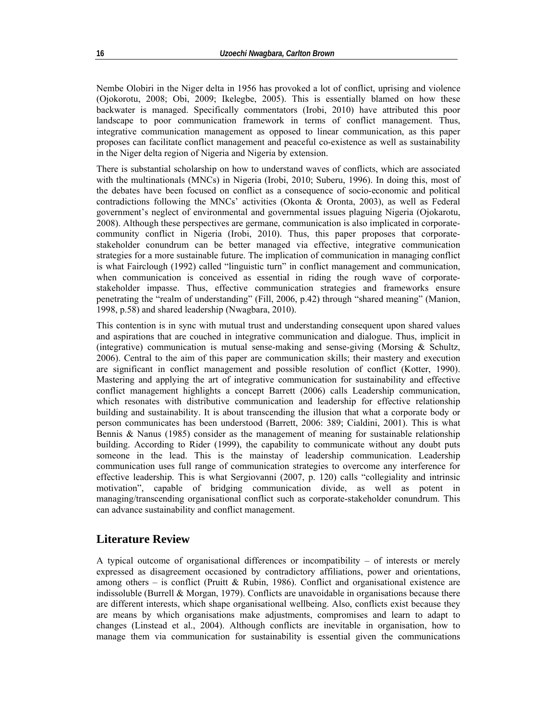Nembe Olobiri in the Niger delta in 1956 has provoked a lot of conflict, uprising and violence (Ojokorotu, 2008; Obi, 2009; Ikelegbe, 2005). This is essentially blamed on how these backwater is managed. Specifically commentators (Irobi, 2010) have attributed this poor landscape to poor communication framework in terms of conflict management. Thus, integrative communication management as opposed to linear communication, as this paper proposes can facilitate conflict management and peaceful co-existence as well as sustainability in the Niger delta region of Nigeria and Nigeria by extension.

There is substantial scholarship on how to understand waves of conflicts, which are associated with the multinationals (MNCs) in Nigeria (Irobi, 2010; Suberu, 1996). In doing this, most of the debates have been focused on conflict as a consequence of socio-economic and political contradictions following the MNCs' activities (Okonta & Oronta, 2003), as well as Federal government's neglect of environmental and governmental issues plaguing Nigeria (Ojokarotu, 2008). Although these perspectives are germane, communication is also implicated in corporatecommunity conflict in Nigeria (Irobi, 2010). Thus, this paper proposes that corporatestakeholder conundrum can be better managed via effective, integrative communication strategies for a more sustainable future. The implication of communication in managing conflict is what Fairclough (1992) called "linguistic turn" in conflict management and communication, when communication is conceived as essential in riding the rough wave of corporatestakeholder impasse. Thus, effective communication strategies and frameworks ensure penetrating the "realm of understanding" (Fill, 2006, p.42) through "shared meaning" (Manion, 1998, p.58) and shared leadership (Nwagbara, 2010).

This contention is in sync with mutual trust and understanding consequent upon shared values and aspirations that are couched in integrative communication and dialogue. Thus, implicit in (integrative) communication is mutual sense-making and sense-giving (Morsing  $\&$  Schultz, 2006). Central to the aim of this paper are communication skills; their mastery and execution are significant in conflict management and possible resolution of conflict (Kotter, 1990). Mastering and applying the art of integrative communication for sustainability and effective conflict management highlights a concept Barrett (2006) calls Leadership communication, which resonates with distributive communication and leadership for effective relationship building and sustainability. It is about transcending the illusion that what a corporate body or person communicates has been understood (Barrett, 2006: 389; Cialdini, 2001). This is what Bennis & Nanus (1985) consider as the management of meaning for sustainable relationship building. According to Rider (1999), the capability to communicate without any doubt puts someone in the lead. This is the mainstay of leadership communication. Leadership communication uses full range of communication strategies to overcome any interference for effective leadership. This is what Sergiovanni (2007, p. 120) calls "collegiality and intrinsic motivation", capable of bridging communication divide, as well as potent in managing/transcending organisational conflict such as corporate-stakeholder conundrum. This can advance sustainability and conflict management.

### **Literature Review**

A typical outcome of organisational differences or incompatibility – of interests or merely expressed as disagreement occasioned by contradictory affiliations, power and orientations, among others – is conflict (Pruitt & Rubin, 1986). Conflict and organisational existence are indissoluble (Burrell & Morgan, 1979). Conflicts are unavoidable in organisations because there are different interests, which shape organisational wellbeing. Also, conflicts exist because they are means by which organisations make adjustments, compromises and learn to adapt to changes (Linstead et al., 2004). Although conflicts are inevitable in organisation, how to manage them via communication for sustainability is essential given the communications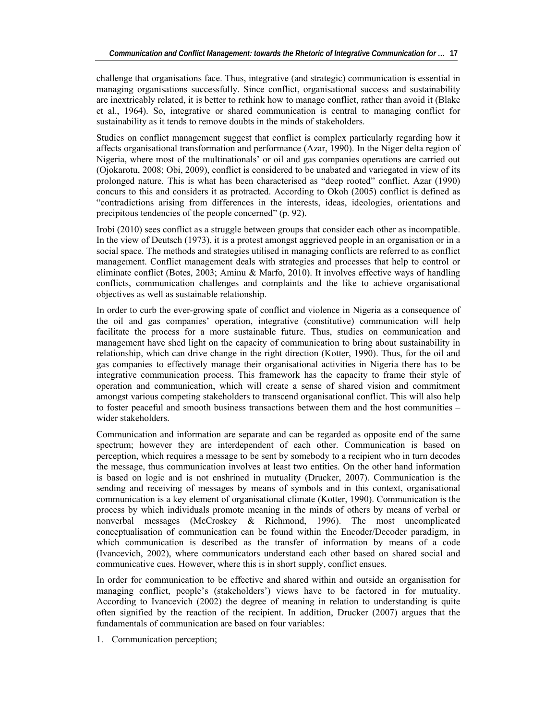challenge that organisations face. Thus, integrative (and strategic) communication is essential in managing organisations successfully. Since conflict, organisational success and sustainability are inextricably related, it is better to rethink how to manage conflict, rather than avoid it (Blake et al., 1964). So, integrative or shared communication is central to managing conflict for sustainability as it tends to remove doubts in the minds of stakeholders.

Studies on conflict management suggest that conflict is complex particularly regarding how it affects organisational transformation and performance (Azar, 1990). In the Niger delta region of Nigeria, where most of the multinationals' or oil and gas companies operations are carried out (Ojokarotu, 2008; Obi, 2009), conflict is considered to be unabated and variegated in view of its prolonged nature. This is what has been characterised as "deep rooted" conflict. Azar (1990) concurs to this and considers it as protracted. According to Okoh (2005) conflict is defined as "contradictions arising from differences in the interests, ideas, ideologies, orientations and precipitous tendencies of the people concerned" (p. 92).

Irobi (2010) sees conflict as a struggle between groups that consider each other as incompatible. In the view of Deutsch (1973), it is a protest amongst aggrieved people in an organisation or in a social space. The methods and strategies utilised in managing conflicts are referred to as conflict management. Conflict management deals with strategies and processes that help to control or eliminate conflict (Botes, 2003; Aminu & Marfo, 2010). It involves effective ways of handling conflicts, communication challenges and complaints and the like to achieve organisational objectives as well as sustainable relationship.

In order to curb the ever-growing spate of conflict and violence in Nigeria as a consequence of the oil and gas companies' operation, integrative (constitutive) communication will help facilitate the process for a more sustainable future. Thus, studies on communication and management have shed light on the capacity of communication to bring about sustainability in relationship, which can drive change in the right direction (Kotter, 1990). Thus, for the oil and gas companies to effectively manage their organisational activities in Nigeria there has to be integrative communication process. This framework has the capacity to frame their style of operation and communication, which will create a sense of shared vision and commitment amongst various competing stakeholders to transcend organisational conflict. This will also help to foster peaceful and smooth business transactions between them and the host communities – wider stakeholders.

Communication and information are separate and can be regarded as opposite end of the same spectrum; however they are interdependent of each other. Communication is based on perception, which requires a message to be sent by somebody to a recipient who in turn decodes the message, thus communication involves at least two entities. On the other hand information is based on logic and is not enshrined in mutuality (Drucker, 2007). Communication is the sending and receiving of messages by means of symbols and in this context, organisational communication is a key element of organisational climate (Kotter, 1990). Communication is the process by which individuals promote meaning in the minds of others by means of verbal or nonverbal messages (McCroskey & Richmond, 1996). The most uncomplicated conceptualisation of communication can be found within the Encoder/Decoder paradigm, in which communication is described as the transfer of information by means of a code (Ivancevich, 2002), where communicators understand each other based on shared social and communicative cues. However, where this is in short supply, conflict ensues.

In order for communication to be effective and shared within and outside an organisation for managing conflict, people's (stakeholders') views have to be factored in for mutuality. According to Ivancevich (2002) the degree of meaning in relation to understanding is quite often signified by the reaction of the recipient. In addition, Drucker (2007) argues that the fundamentals of communication are based on four variables:

1. Communication perception;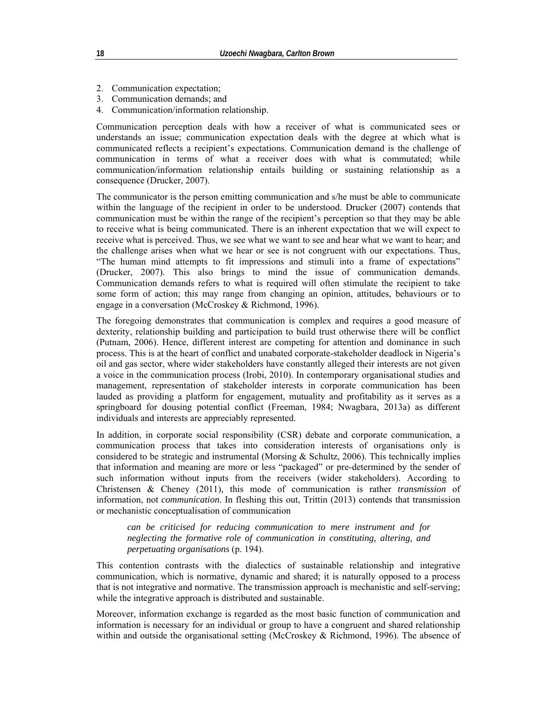- 2. Communication expectation;
- 3. Communication demands; and
- 4. Communication/information relationship.

Communication perception deals with how a receiver of what is communicated sees or understands an issue; communication expectation deals with the degree at which what is communicated reflects a recipient's expectations. Communication demand is the challenge of communication in terms of what a receiver does with what is commutated; while communication/information relationship entails building or sustaining relationship as a consequence (Drucker, 2007).

The communicator is the person emitting communication and s/he must be able to communicate within the language of the recipient in order to be understood. Drucker (2007) contends that communication must be within the range of the recipient's perception so that they may be able to receive what is being communicated. There is an inherent expectation that we will expect to receive what is perceived. Thus, we see what we want to see and hear what we want to hear; and the challenge arises when what we hear or see is not congruent with our expectations. Thus, "The human mind attempts to fit impressions and stimuli into a frame of expectations" (Drucker, 2007). This also brings to mind the issue of communication demands. Communication demands refers to what is required will often stimulate the recipient to take some form of action; this may range from changing an opinion, attitudes, behaviours or to engage in a conversation (McCroskey & Richmond, 1996).

The foregoing demonstrates that communication is complex and requires a good measure of dexterity, relationship building and participation to build trust otherwise there will be conflict (Putnam, 2006). Hence, different interest are competing for attention and dominance in such process. This is at the heart of conflict and unabated corporate-stakeholder deadlock in Nigeria's oil and gas sector, where wider stakeholders have constantly alleged their interests are not given a voice in the communication process (Irobi, 2010). In contemporary organisational studies and management, representation of stakeholder interests in corporate communication has been lauded as providing a platform for engagement, mutuality and profitability as it serves as a springboard for dousing potential conflict (Freeman, 1984; Nwagbara, 2013a) as different individuals and interests are appreciably represented.

In addition, in corporate social responsibility (CSR) debate and corporate communication, a communication process that takes into consideration interests of organisations only is considered to be strategic and instrumental (Morsing  $\&$  Schultz, 2006). This technically implies that information and meaning are more or less "packaged" or pre-determined by the sender of such information without inputs from the receivers (wider stakeholders). According to Christensen & Cheney (2011), this mode of communication is rather *transmission* of information, not *communication*. In fleshing this out, Trittin (2013) contends that transmission or mechanistic conceptualisation of communication

*can be criticised for reducing communication to mere instrument and for neglecting the formative role of communication in constituting, altering, and perpetuating organisations* (p. 194).

This contention contrasts with the dialectics of sustainable relationship and integrative communication, which is normative, dynamic and shared; it is naturally opposed to a process that is not integrative and normative. The transmission approach is mechanistic and self-serving; while the integrative approach is distributed and sustainable.

Moreover, information exchange is regarded as the most basic function of communication and information is necessary for an individual or group to have a congruent and shared relationship within and outside the organisational setting (McCroskey & Richmond, 1996). The absence of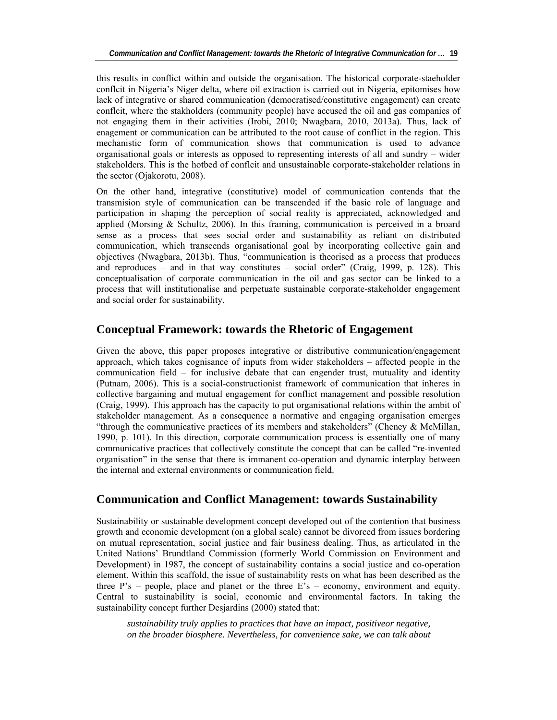this results in conflict within and outside the organisation. The historical corporate-staeholder conflcit in Nigeria's Niger delta, where oil extraction is carried out in Nigeria, epitomises how lack of integrative or shared communication (democratised/constitutive engagement) can create conflcit, where the stakholders (community people) have accused the oil and gas companies of not engaging them in their activities (Irobi, 2010; Nwagbara, 2010, 2013a). Thus, lack of enagement or communication can be attributed to the root cause of conflict in the region. This mechanistic form of communication shows that communication is used to advance organisational goals or interests as opposed to representing interests of all and sundry – wider stakeholders. This is the hotbed of conflcit and unsustainable corporate-stakeholder relations in the sector (Ojakorotu, 2008).

On the other hand, integrative (constitutive) model of communication contends that the transmision style of communication can be transcended if the basic role of language and participation in shaping the perception of social reality is appreciated, acknowledged and applied (Morsing  $\&$  Schultz, 2006). In this framing, communication is perceived in a broard sense as a process that sees social order and sustainability as reliant on distributed communication, which transcends organisational goal by incorporating collective gain and objectives (Nwagbara, 2013b). Thus, "communication is theorised as a process that produces and reproduces – and in that way constitutes – social order" (Craig, 1999, p. 128). This conceptualisation of corporate communication in the oil and gas sector can be linked to a process that will institutionalise and perpetuate sustainable corporate-stakeholder engagement and social order for sustainability.

### **Conceptual Framework: towards the Rhetoric of Engagement**

Given the above, this paper proposes integrative or distributive communication/engagement approach, which takes cognisance of inputs from wider stakeholders – affected people in the communication field – for inclusive debate that can engender trust, mutuality and identity (Putnam, 2006). This is a social-constructionist framework of communication that inheres in collective bargaining and mutual engagement for conflict management and possible resolution (Craig, 1999). This approach has the capacity to put organisational relations within the ambit of stakeholder management. As a consequence a normative and engaging organisation emerges "through the communicative practices of its members and stakeholders" (Cheney & McMillan, 1990, p. 101). In this direction, corporate communication process is essentially one of many communicative practices that collectively constitute the concept that can be called "re-invented organisation" in the sense that there is immanent co-operation and dynamic interplay between the internal and external environments or communication field.

### **Communication and Conflict Management: towards Sustainability**

Sustainability or sustainable development concept developed out of the contention that business growth and economic development (on a global scale) cannot be divorced from issues bordering on mutual representation, social justice and fair business dealing. Thus, as articulated in the United Nations' Brundtland Commission (formerly World Commission on Environment and Development) in 1987, the concept of sustainability contains a social justice and co-operation element. Within this scaffold, the issue of sustainability rests on what has been described as the three P's – people, place and planet or the three E's – economy, environment and equity. Central to sustainability is social, economic and environmental factors. In taking the sustainability concept further Desjardins (2000) stated that:

*sustainability truly applies to practices that have an impact, positiveor negative, on the broader biosphere. Nevertheless, for convenience sake, we can talk about*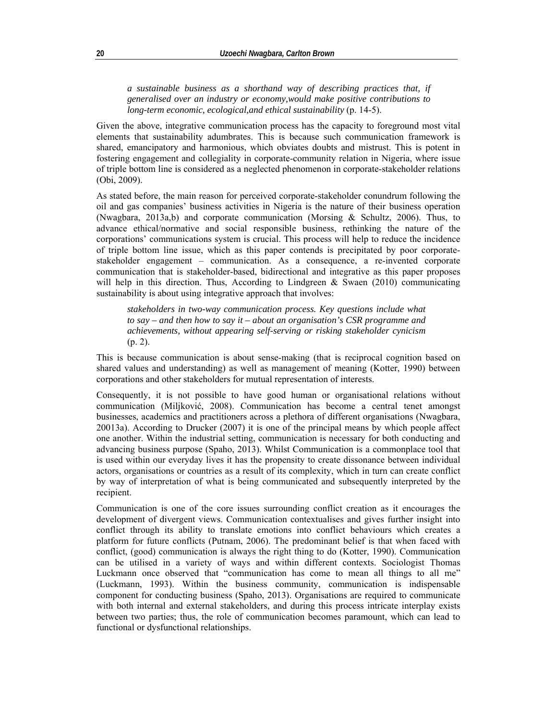*a sustainable business as a shorthand way of describing practices that, if generalised over an industry or economy,would make positive contributions to long-term economic, ecological,and ethical sustainability* (p. 14-5).

Given the above, integrative communication process has the capacity to foreground most vital elements that sustainability adumbrates. This is because such communication framework is shared, emancipatory and harmonious, which obviates doubts and mistrust. This is potent in fostering engagement and collegiality in corporate-community relation in Nigeria, where issue of triple bottom line is considered as a neglected phenomenon in corporate-stakeholder relations (Obi, 2009).

As stated before, the main reason for perceived corporate-stakeholder conundrum following the oil and gas companies' business activities in Nigeria is the nature of their business operation (Nwagbara, 2013a,b) and corporate communication (Morsing & Schultz, 2006). Thus, to advance ethical/normative and social responsible business, rethinking the nature of the corporations' communications system is crucial. This process will help to reduce the incidence of triple bottom line issue, which as this paper contends is precipitated by poor corporatestakeholder engagement – communication. As a consequence, a re-invented corporate communication that is stakeholder-based, bidirectional and integrative as this paper proposes will help in this direction. Thus, According to Lindgreen  $\&$  Swaen (2010) communicating sustainability is about using integrative approach that involves:

*stakeholders in two-way communication process. Key questions include what to say – and then how to say it – about an organisation's CSR programme and achievements, without appearing self-serving or risking stakeholder cynicism*  (p. 2).

This is because communication is about sense-making (that is reciprocal cognition based on shared values and understanding) as well as management of meaning (Kotter, 1990) between corporations and other stakeholders for mutual representation of interests.

Consequently, it is not possible to have good human or organisational relations without communication (Miljković, 2008). Communication has become a central tenet amongst businesses, academics and practitioners across a plethora of different organisations (Nwagbara, 20013a). According to Drucker (2007) it is one of the principal means by which people affect one another. Within the industrial setting, communication is necessary for both conducting and advancing business purpose (Spaho, 2013). Whilst Communication is a commonplace tool that is used within our everyday lives it has the propensity to create dissonance between individual actors, organisations or countries as a result of its complexity, which in turn can create conflict by way of interpretation of what is being communicated and subsequently interpreted by the recipient.

Communication is one of the core issues surrounding conflict creation as it encourages the development of divergent views. Communication contextualises and gives further insight into conflict through its ability to translate emotions into conflict behaviours which creates a platform for future conflicts (Putnam, 2006). The predominant belief is that when faced with conflict, (good) communication is always the right thing to do (Kotter, 1990). Communication can be utilised in a variety of ways and within different contexts. Sociologist Thomas Luckmann once observed that "communication has come to mean all things to all me" (Luckmann, 1993). Within the business community, communication is indispensable component for conducting business (Spaho, 2013). Organisations are required to communicate with both internal and external stakeholders, and during this process intricate interplay exists between two parties; thus, the role of communication becomes paramount, which can lead to functional or dysfunctional relationships.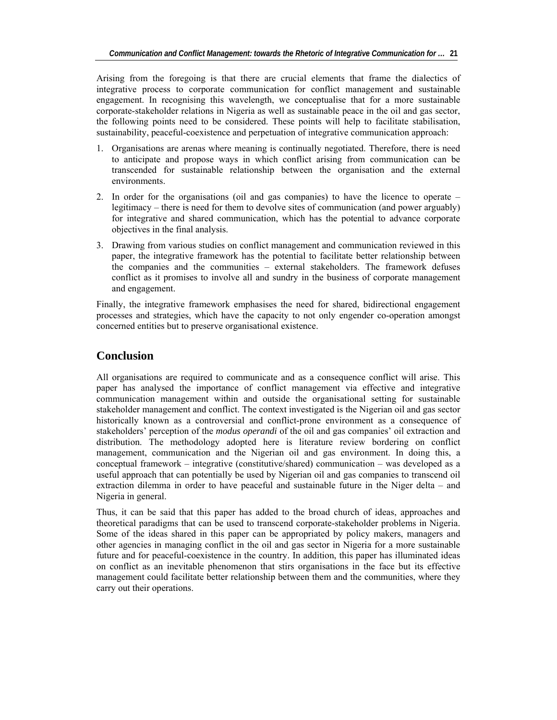Arising from the foregoing is that there are crucial elements that frame the dialectics of integrative process to corporate communication for conflict management and sustainable engagement. In recognising this wavelength, we conceptualise that for a more sustainable corporate-stakeholder relations in Nigeria as well as sustainable peace in the oil and gas sector, the following points need to be considered. These points will help to facilitate stabilisation, sustainability, peaceful-coexistence and perpetuation of integrative communication approach:

- 1. Organisations are arenas where meaning is continually negotiated. Therefore, there is need to anticipate and propose ways in which conflict arising from communication can be transcended for sustainable relationship between the organisation and the external environments.
- 2. In order for the organisations (oil and gas companies) to have the licence to operate legitimacy – there is need for them to devolve sites of communication (and power arguably) for integrative and shared communication, which has the potential to advance corporate objectives in the final analysis.
- 3. Drawing from various studies on conflict management and communication reviewed in this paper, the integrative framework has the potential to facilitate better relationship between the companies and the communities – external stakeholders. The framework defuses conflict as it promises to involve all and sundry in the business of corporate management and engagement.

Finally, the integrative framework emphasises the need for shared, bidirectional engagement processes and strategies, which have the capacity to not only engender co-operation amongst concerned entities but to preserve organisational existence.

## **Conclusion**

All organisations are required to communicate and as a consequence conflict will arise. This paper has analysed the importance of conflict management via effective and integrative communication management within and outside the organisational setting for sustainable stakeholder management and conflict. The context investigated is the Nigerian oil and gas sector historically known as a controversial and conflict-prone environment as a consequence of stakeholders' perception of the *modus operandi* of the oil and gas companies' oil extraction and distribution. The methodology adopted here is literature review bordering on conflict management, communication and the Nigerian oil and gas environment. In doing this, a conceptual framework – integrative (constitutive/shared) communication – was developed as a useful approach that can potentially be used by Nigerian oil and gas companies to transcend oil extraction dilemma in order to have peaceful and sustainable future in the Niger delta – and Nigeria in general.

Thus, it can be said that this paper has added to the broad church of ideas, approaches and theoretical paradigms that can be used to transcend corporate-stakeholder problems in Nigeria. Some of the ideas shared in this paper can be appropriated by policy makers, managers and other agencies in managing conflict in the oil and gas sector in Nigeria for a more sustainable future and for peaceful-coexistence in the country. In addition, this paper has illuminated ideas on conflict as an inevitable phenomenon that stirs organisations in the face but its effective management could facilitate better relationship between them and the communities, where they carry out their operations.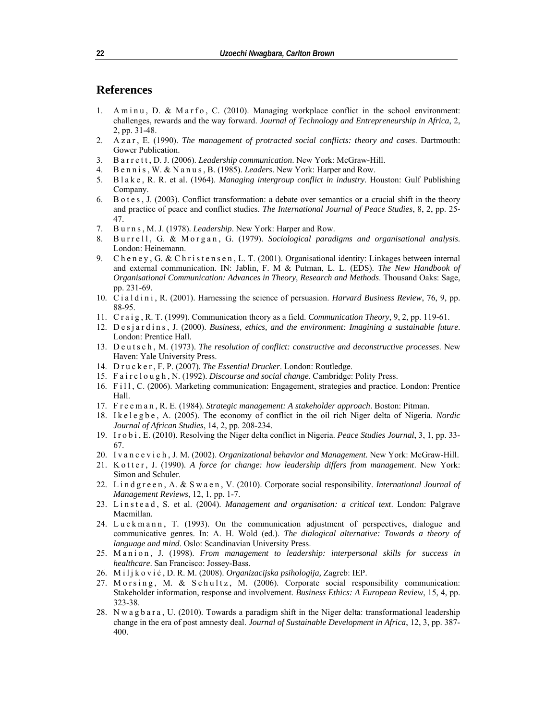#### **References**

- 1. A m i n u, D. & M a r f o, C. (2010). Managing workplace conflict in the school environment: challenges, rewards and the way forward. *Journal of Technology and Entrepreneurship in Africa*, 2, 2, pp. 31-48.
- 2. A z a r , E. (1990). *The management of protracted social conflicts: theory and cases*. Dartmouth: Gower Publication.
- 3. B a r r e t t , D. J. (2006). *Leadership communication*. New York: McGraw-Hill.
- 4. B e n n i s , W. & N a n u s , B. (1985). *Leaders*. New York: Harper and Row.
- 5. B l a k e , R. R. et al. (1964). *Managing intergroup conflict in industry*. Houston: Gulf Publishing Company.
- 6. B o t e s , J. (2003). Conflict transformation: a debate over semantics or a crucial shift in the theory and practice of peace and conflict studies. *The International Journal of Peace Studies*, 8, 2, pp. 25- 47.
- 7. B u r n s , M. J. (1978). *Leadership*. New York: Harper and Row.
- 8. Burrell, G. & Morgan, G. (1979). *Sociological paradigms and organisational analysis*. London: Heinemann.
- 9. Cheney, G. & Christensen, L. T. (2001). Organisational identity: Linkages between internal and external communication. IN: Jablin, F. M & Putman, L. L. (EDS). *The New Handbook of Organisational Communication: Advances in Theory, Research and Methods*. Thousand Oaks: Sage, pp. 231-69.
- 10. C i a l d i n i , R. (2001). Harnessing the science of persuasion. *Harvard Business Review*, 76, 9, pp. 88-95.
- 11. C r a i g , R. T. (1999). Communication theory as a field. *Communication Theory*, 9, 2, pp. 119-61.
- 12. D e s j a r d i n s , J. (2000). *Business, ethics, and the environment: Imagining a sustainable future*. London: Prentice Hall.
- 13. D e u t s c h , M. (1973). *The resolution of conflict: constructive and deconstructive processes*. New Haven: Yale University Press.
- 14. D r u c k e r , F. P. (2007). *The Essential Drucker*. London: Routledge.
- 15. F a i r c l o u g h , N. (1992). *Discourse and social change*. Cambridge: Polity Press.
- 16. F i l 1, C. (2006). Marketing communication: Engagement, strategies and practice. London: Prentice Hall.
- 17. F r e e m a n , R. E. (1984). *Strategic management: A stakeholder approach*. Boston: Pitman.
- 18. I k e l e g b e , A. (2005). The economy of conflict in the oil rich Niger delta of Nigeria. *Nordic Journal of African Studies*, 14, 2, pp. 208-234.
- 19. I r o b i , E. (2010). Resolving the Niger delta conflict in Nigeria. *Peace Studies Journal*, 3, 1, pp. 33- 67.
- 20. I v a n c e v i c h , J. M. (2002). *Organizational behavior and Management.* New York: McGraw-Hill.
- 21. K otter, J. (1990). *A force for change: how leadership differs from management*. New York: Simon and Schuler.
- 22. L i n d g r e e n , A. & S w a e n , V. (2010). Corporate social responsibility. *International Journal of Management Reviews*, 12, 1, pp. 1-7.
- 23. L i n s t e a d , S. et al. (2004). *Management and organisation: a critical text*. London: Palgrave Macmillan.
- 24. Luckmann, T. (1993). On the communication adjustment of perspectives, dialogue and communicative genres. In: A. H. Wold (ed.). *The dialogical alternative: Towards a theory of language and mind*. Oslo: Scandinavian University Press.
- 25. Manion, J. (1998). *From management to leadership: interpersonal skills for success in healthcare*. San Francisco: Jossey-Bass.
- 26. Miljkovi ć , D. R. M. (2008). *Organizacijska psihologija,* Zagreb: IEP.
- 27. M o r s in g, M.  $\&$  S c h u l t z, M. (2006). Corporate social responsibility communication: Stakeholder information, response and involvement. *Business Ethics: A European Review*, 15, 4, pp. 323-38.
- 28. N w a g b a r a, U. (2010). Towards a paradigm shift in the Niger delta: transformational leadership change in the era of post amnesty deal. *Journal of Sustainable Development in Africa*, 12, 3, pp. 387- 400.